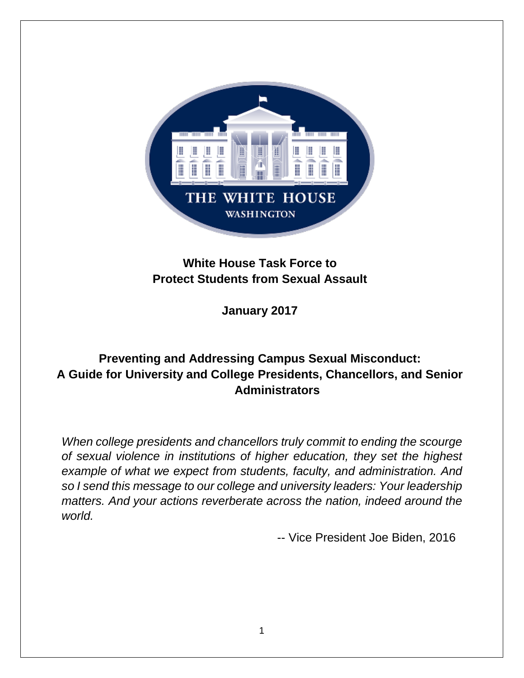

### **White House Task Force to Protect Students from Sexual Assault**

**January 2017**

# **Preventing and Addressing Campus Sexual Misconduct: A Guide for University and College Presidents, Chancellors, and Senior Administrators**

*When college presidents and chancellors truly commit to ending the scourge of sexual violence in institutions of higher education, they set the highest example of what we expect from students, faculty, and administration. And so I send this message to our college and university leaders: Your leadership matters. And your actions reverberate across the nation, indeed around the world.*

-- Vice President Joe Biden, 2016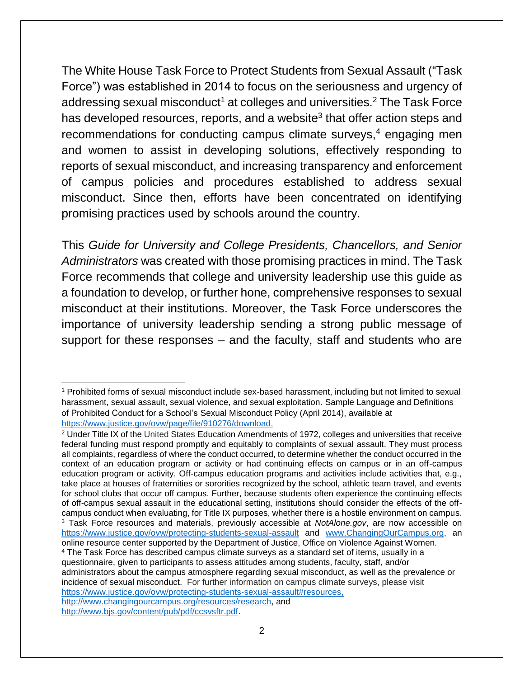The White House Task Force to Protect Students from Sexual Assault ("Task Force") was established in 2014 to focus on the seriousness and urgency of addressing sexual misconduct<sup>1</sup> at colleges and universities.<sup>2</sup> The Task Force has developed resources, reports, and a website<sup>3</sup> that offer action steps and recommendations for conducting campus climate surveys,<sup>4</sup> engaging men and women to assist in developing solutions, effectively responding to reports of sexual misconduct, and increasing transparency and enforcement of campus policies and procedures established to address sexual misconduct. Since then, efforts have been concentrated on identifying promising practices used by schools around the country.

This *Guide for University and College Presidents, Chancellors, and Senior Administrators* was created with those promising practices in mind. The Task Force recommends that college and university leadership use this guide as a foundation to develop, or further hone, comprehensive responses to sexual misconduct at their institutions. Moreover, the Task Force underscores the importance of university leadership sending a strong public message of support for these responses – and the faculty, staff and students who are

l <sup>1</sup> Prohibited forms of sexual misconduct include sex-based harassment, including but not limited to sexual harassment, sexual assault, sexual violence, and sexual exploitation. Sample Language and Definitions of Prohibited Conduct for a School's Sexual Misconduct Policy (April 2014), available at [https://www.justice.gov/ovw/page/file/910276/download.](https://www.justice.gov/ovw/page/file/910276/download)

<sup>2</sup> Under Title IX of the United States [Education Amendments of 1972,](https://en.wikipedia.org/wiki/Education_Amendments_of_1972) colleges and universities that receive federal funding must respond promptly and equitably to complaints of sexual assault. They must process all complaints, regardless of where the conduct occurred, to determine whether the conduct occurred in the context of an education program or activity or had continuing effects on campus or in an off-campus education program or activity. Off-campus education programs and activities include activities that, e.g., take place at houses of fraternities or sororities recognized by the school, athletic team travel, and events for school clubs that occur off campus. Further, because students often experience the continuing effects of off-campus sexual assault in the educational setting, institutions should consider the effects of the offcampus conduct when evaluating, for Title IX purposes, whether there is a hostile environment on campus. <sup>3</sup> Task Force resources and materials, previously accessible at *NotAlone.gov*, are now accessible on <https://www.justice.gov/ovw/protecting-students-sexual-assault> and [www.ChangingOurCampus.org,](http://www.changingourcampus.org/) an online resource center supported by the Department of Justice, Office on Violence Against Women. <sup>4</sup> The Task Force has described campus climate surveys as a standard set of items, usually in a questionnaire, given to participants to assess attitudes among students, faculty, staff, and/or administrators about the campus atmosphere regarding sexual misconduct, as well as the prevalence or incidence of sexual misconduct. For further information on campus climate surveys, please visit [https://www.justice.gov/ovw/protecting-students-sexual-assault#resources,](https://www.justice.gov/ovw/protecting-students-sexual-assault#resources) [http://www.changingourcampus.org/resources/research,](http://www.changingourcampus.org/resources/research) and [http://www.bjs.gov/content/pub/pdf/ccsvsftr.pdf.](http://www.bjs.gov/content/pub/pdf/ccsvsftr.pdf)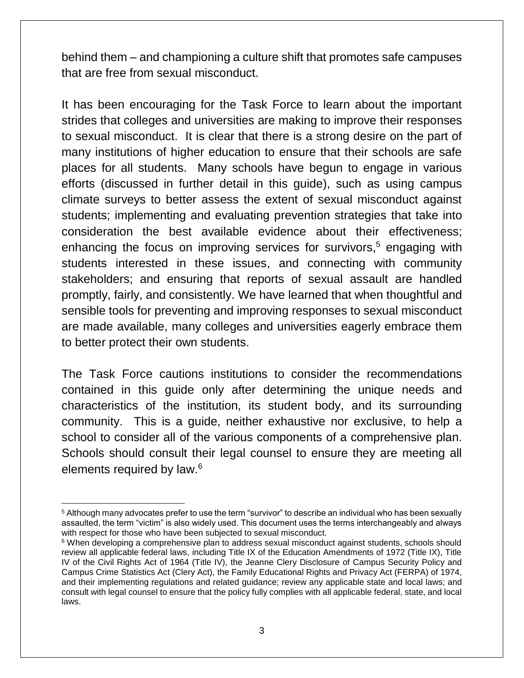behind them – and championing a culture shift that promotes safe campuses that are free from sexual misconduct.

It has been encouraging for the Task Force to learn about the important strides that colleges and universities are making to improve their responses to sexual misconduct. It is clear that there is a strong desire on the part of many institutions of higher education to ensure that their schools are safe places for all students. Many schools have begun to engage in various efforts (discussed in further detail in this guide), such as using campus climate surveys to better assess the extent of sexual misconduct against students; implementing and evaluating prevention strategies that take into consideration the best available evidence about their effectiveness; enhancing the focus on improving services for survivors,<sup>5</sup> engaging with students interested in these issues, and connecting with community stakeholders; and ensuring that reports of sexual assault are handled promptly, fairly, and consistently. We have learned that when thoughtful and sensible tools for preventing and improving responses to sexual misconduct are made available, many colleges and universities eagerly embrace them to better protect their own students.

The Task Force cautions institutions to consider the recommendations contained in this guide only after determining the unique needs and characteristics of the institution, its student body, and its surrounding community. This is a guide, neither exhaustive nor exclusive, to help a school to consider all of the various components of a comprehensive plan. Schools should consult their legal counsel to ensure they are meeting all elements required by law.<sup>6</sup>

 $\overline{\phantom{a}}$ 

<sup>5</sup> Although many advocates prefer to use the term "survivor" to describe an individual who has been sexually assaulted, the term "victim" is also widely used. This document uses the terms interchangeably and always with respect for those who have been subjected to sexual misconduct.

<sup>&</sup>lt;sup>6</sup> When developing a comprehensive plan to address sexual misconduct against students, schools should review all applicable federal laws, including Title IX of the Education Amendments of 1972 (Title IX), Title IV of the Civil Rights Act of 1964 (Title IV), the Jeanne Clery Disclosure of Campus Security Policy and Campus Crime Statistics Act (Clery Act), the Family Educational Rights and Privacy Act (FERPA) of 1974, and their implementing regulations and related guidance; review any applicable state and local laws; and consult with legal counsel to ensure that the policy fully complies with all applicable federal, state, and local laws.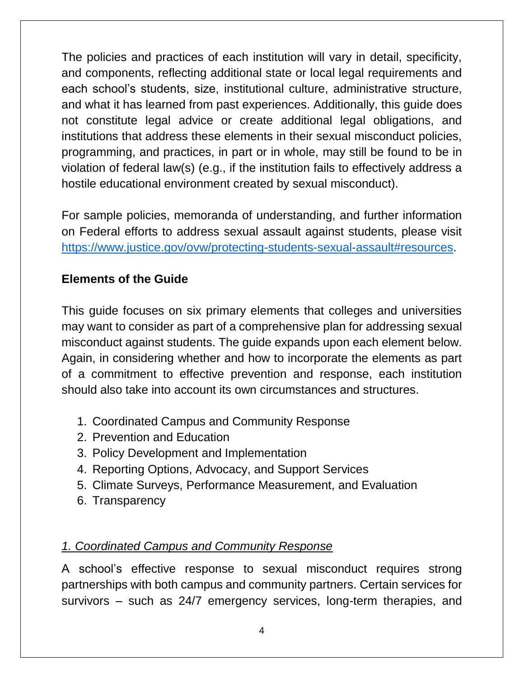The policies and practices of each institution will vary in detail, specificity, and components, reflecting additional state or local legal requirements and each school's students, size, institutional culture, administrative structure, and what it has learned from past experiences. Additionally, this guide does not constitute legal advice or create additional legal obligations, and institutions that address these elements in their sexual misconduct policies, programming, and practices, in part or in whole, may still be found to be in violation of federal law(s) (e.g., if the institution fails to effectively address a hostile educational environment created by sexual misconduct).

For sample policies, memoranda of understanding, and further information on Federal efforts to address sexual assault against students, please visit [https://www.justice.gov/ovw/protecting-students-sexual-assault#resources.](https://www.justice.gov/ovw/protecting-students-sexual-assault#resources)

# **Elements of the Guide**

This guide focuses on six primary elements that colleges and universities may want to consider as part of a comprehensive plan for addressing sexual misconduct against students. The guide expands upon each element below. Again, in considering whether and how to incorporate the elements as part of a commitment to effective prevention and response, each institution should also take into account its own circumstances and structures.

- 1. Coordinated Campus and Community Response
- 2. Prevention and Education
- 3. Policy Development and Implementation
- 4. Reporting Options, Advocacy, and Support Services
- 5. Climate Surveys, Performance Measurement, and Evaluation
- 6. Transparency

### *1. Coordinated Campus and Community Response*

A school's effective response to sexual misconduct requires strong partnerships with both campus and community partners. Certain services for survivors – such as 24/7 emergency services, long-term therapies, and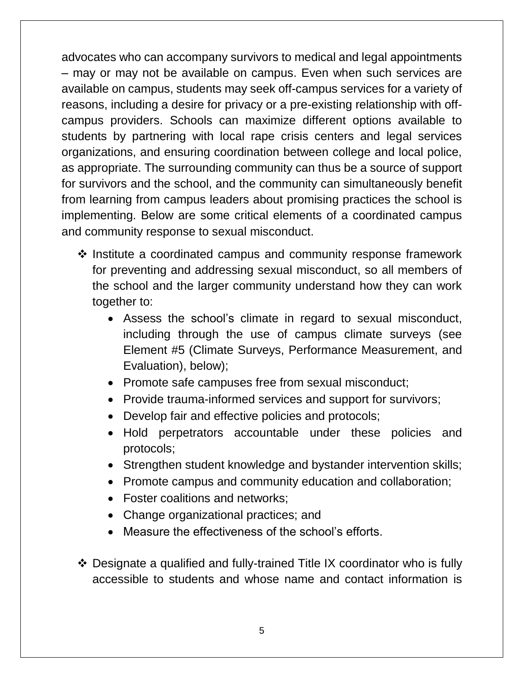advocates who can accompany survivors to medical and legal appointments – may or may not be available on campus. Even when such services are available on campus, students may seek off-campus services for a variety of reasons, including a desire for privacy or a pre-existing relationship with offcampus providers. Schools can maximize different options available to students by partnering with local rape crisis centers and legal services organizations, and ensuring coordination between college and local police, as appropriate. The surrounding community can thus be a source of support for survivors and the school, and the community can simultaneously benefit from learning from campus leaders about promising practices the school is implementing. Below are some critical elements of a coordinated campus and community response to sexual misconduct.

- $\cdot$  Institute a coordinated campus and community response framework for preventing and addressing sexual misconduct, so all members of the school and the larger community understand how they can work together to:
	- Assess the school's climate in regard to sexual misconduct, including through the use of campus climate surveys (see Element #5 (Climate Surveys, Performance Measurement, and Evaluation), below);
	- Promote safe campuses free from sexual misconduct;
	- Provide trauma-informed services and support for survivors;
	- Develop fair and effective policies and protocols;
	- Hold perpetrators accountable under these policies and protocols;
	- Strengthen student knowledge and bystander intervention skills;
	- Promote campus and community education and collaboration;
	- Foster coalitions and networks;
	- Change organizational practices; and
	- Measure the effectiveness of the school's efforts.
- Designate a qualified and fully-trained Title IX coordinator who is fully accessible to students and whose name and contact information is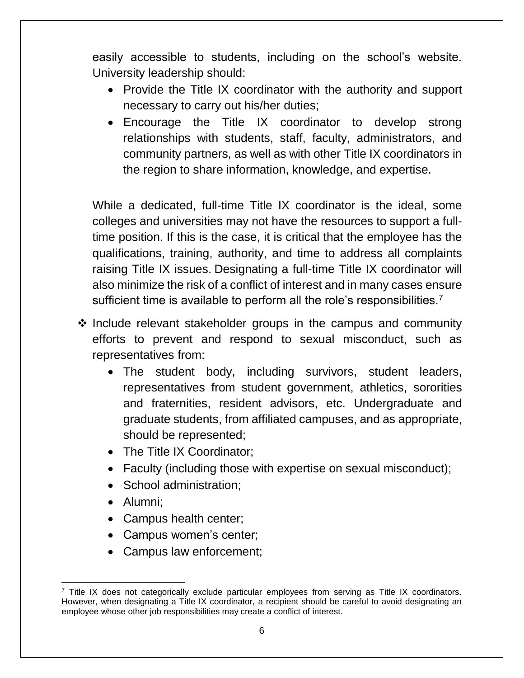easily accessible to students, including on the school's website. University leadership should:

- Provide the Title IX coordinator with the authority and support necessary to carry out his/her duties;
- Encourage the Title IX coordinator to develop strong relationships with students, staff, faculty, administrators, and community partners, as well as with other Title IX coordinators in the region to share information, knowledge, and expertise.

While a dedicated, full-time Title IX coordinator is the ideal, some colleges and universities may not have the resources to support a fulltime position. If this is the case, it is critical that the employee has the qualifications, training, authority, and time to address all complaints raising Title IX issues. Designating a full-time Title IX coordinator will also minimize the risk of a conflict of interest and in many cases ensure sufficient time is available to perform all the role's responsibilities.<sup>7</sup>

- $\cdot$  Include relevant stakeholder groups in the campus and community efforts to prevent and respond to sexual misconduct, such as representatives from:
	- The student body, including survivors, student leaders, representatives from student government, athletics, sororities and fraternities, resident advisors, etc. Undergraduate and graduate students, from affiliated campuses, and as appropriate, should be represented;
	- The Title IX Coordinator;
	- Faculty (including those with expertise on sexual misconduct);
	- School administration:
	- Alumni;
	- Campus health center;
	- Campus women's center;
	- Campus law enforcement;

 $\overline{\phantom{a}}$  $7$  Title IX does not categorically exclude particular employees from serving as Title IX coordinators. However, when designating a Title IX coordinator, a recipient should be careful to avoid designating an employee whose other job responsibilities may create a conflict of interest.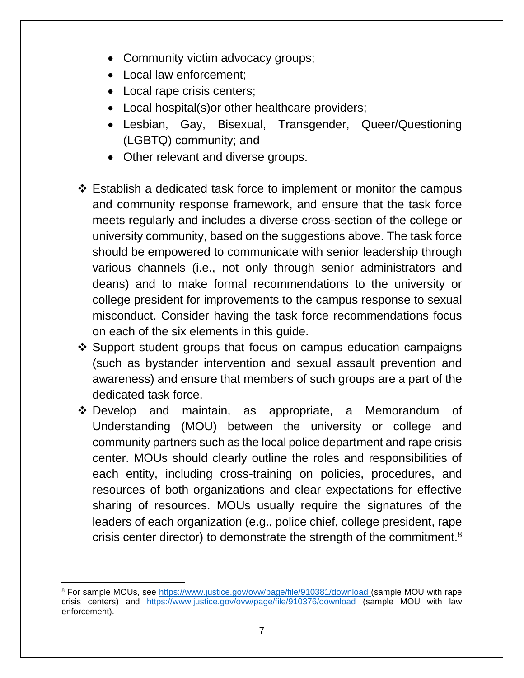- Community victim advocacy groups;
- Local law enforcement;
- Local rape crisis centers;
- Local hospital(s) or other healthcare providers;
- Lesbian, Gay, Bisexual, Transgender, Queer/Questioning (LGBTQ) community; and
- Other relevant and diverse groups.
- Establish a dedicated task force to implement or monitor the campus and community response framework, and ensure that the task force meets regularly and includes a diverse cross-section of the college or university community, based on the suggestions above. The task force should be empowered to communicate with senior leadership through various channels (i.e., not only through senior administrators and deans) and to make formal recommendations to the university or college president for improvements to the campus response to sexual misconduct. Consider having the task force recommendations focus on each of the six elements in this guide.
- ❖ Support student groups that focus on campus education campaigns (such as bystander intervention and sexual assault prevention and awareness) and ensure that members of such groups are a part of the dedicated task force.
- Develop and maintain, as appropriate, a Memorandum of Understanding (MOU) between the university or college and community partners such as the local police department and rape crisis center. MOUs should clearly outline the roles and responsibilities of each entity, including cross-training on policies, procedures, and resources of both organizations and clear expectations for effective sharing of resources. MOUs usually require the signatures of the leaders of each organization (e.g., police chief, college president, rape crisis center director) to demonstrate the strength of the commitment.<sup>8</sup>

 $\overline{\phantom{a}}$ 

<sup>8</sup> For sample MOUs, see<https://www.justice.gov/ovw/page/file/910381/download> (sample MOU with rape crisis centers) and <https://www.justice.gov/ovw/page/file/910376/download> (sample MOU with law enforcement).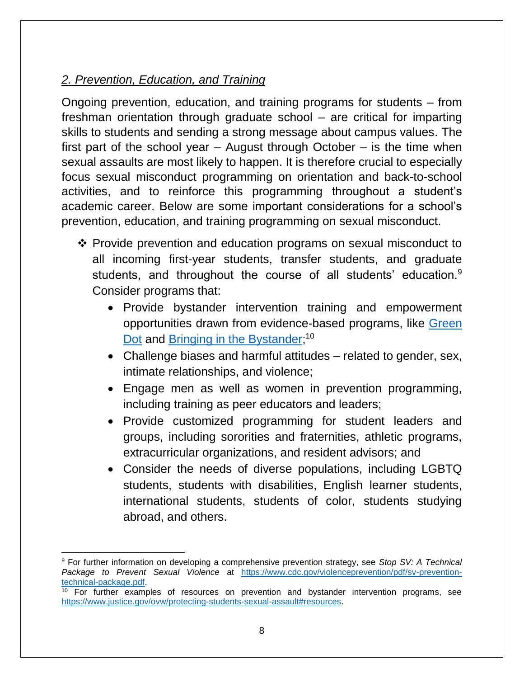#### *2. Prevention, Education, and Training*

l

Ongoing prevention, education, and training programs for students – from freshman orientation through graduate school – are critical for imparting skills to students and sending a strong message about campus values. The first part of the school year – August through October – is the time when sexual assaults are most likely to happen. It is therefore crucial to especially focus sexual misconduct programming on orientation and back-to-school activities, and to reinforce this programming throughout a student's academic career. Below are some important considerations for a school's prevention, education, and training programming on sexual misconduct.

- Provide prevention and education programs on sexual misconduct to all incoming first-year students, transfer students, and graduate students, and throughout the course of all students' education.<sup>9</sup> Consider programs that:
	- Provide bystander intervention training and empowerment opportunities drawn from evidence-based programs, like [Green](http://livethegreendot.com/gd_strategy.html)  [Dot](http://livethegreendot.com/gd_strategy.html) and [Bringing in the Bystander;](http://cola.unh.edu/prevention-innovations/bystander)<sup>10</sup>
	- Challenge biases and harmful attitudes related to gender, sex, intimate relationships, and violence;
	- Engage men as well as women in prevention programming, including training as peer educators and leaders;
	- Provide customized programming for student leaders and groups, including sororities and fraternities, athletic programs, extracurricular organizations, and resident advisors; and
	- Consider the needs of diverse populations, including LGBTQ students, students with disabilities, English learner students, international students, students of color, students studying abroad, and others.

<sup>9</sup> For further information on developing a comprehensive prevention strategy, see *Stop SV: A Technical Package to Prevent Sexual Violence* at [https://www.cdc.gov/violenceprevention/pdf/sv-prevention](https://www.cdc.gov/violenceprevention/pdf/sv-prevention-technical-package.pdf)[technical-package.pdf.](https://www.cdc.gov/violenceprevention/pdf/sv-prevention-technical-package.pdf)

<sup>&</sup>lt;sup>10</sup> For further examples of resources on prevention and bystander intervention programs, see [https://www.justice.gov/ovw/protecting-students-sexual-assault#resources.](https://www.justice.gov/ovw/protecting-students-sexual-assault#resources)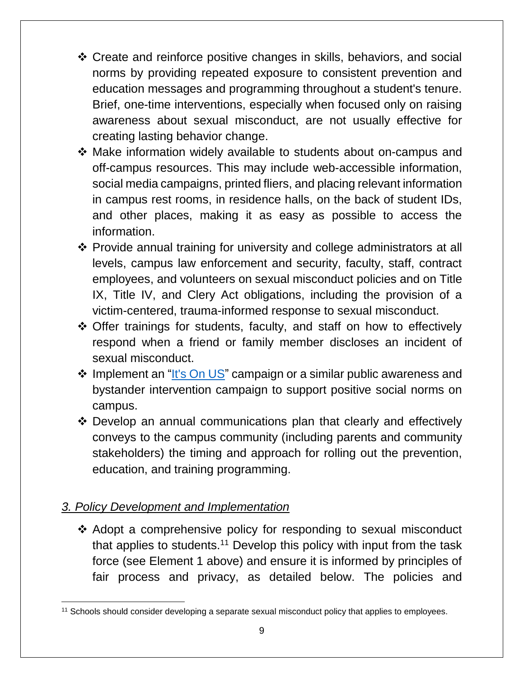- Create and reinforce positive changes in skills, behaviors, and social norms by providing repeated exposure to consistent prevention and education messages and programming throughout a student's tenure. Brief, one-time interventions, especially when focused only on raising awareness about sexual misconduct, are not usually effective for creating lasting behavior change.
- Make information widely available to students about on-campus and off-campus resources. This may include web-accessible information, social media campaigns, printed fliers, and placing relevant information in campus rest rooms, in residence halls, on the back of student IDs, and other places, making it as easy as possible to access the information.
- Provide annual training for university and college administrators at all levels, campus law enforcement and security, faculty, staff, contract employees, and volunteers on sexual misconduct policies and on Title IX, Title IV, and Clery Act obligations, including the provision of a victim-centered, trauma-informed response to sexual misconduct.
- Offer trainings for students, faculty, and staff on how to effectively respond when a friend or family member discloses an incident of sexual misconduct.
- ❖ Implement an ["It's On US"](http://itsonus.org/) campaign or a similar public awareness and bystander intervention campaign to support positive social norms on campus.
- Develop an annual communications plan that clearly and effectively conveys to the campus community (including parents and community stakeholders) the timing and approach for rolling out the prevention, education, and training programming.

#### *3. Policy Development and Implementation*

\* Adopt a comprehensive policy for responding to sexual misconduct that applies to students.<sup>11</sup> Develop this policy with input from the task force (see Element 1 above) and ensure it is informed by principles of fair process and privacy, as detailed below. The policies and

 $\overline{\phantom{a}}$ <sup>11</sup> Schools should consider developing a separate sexual misconduct policy that applies to employees.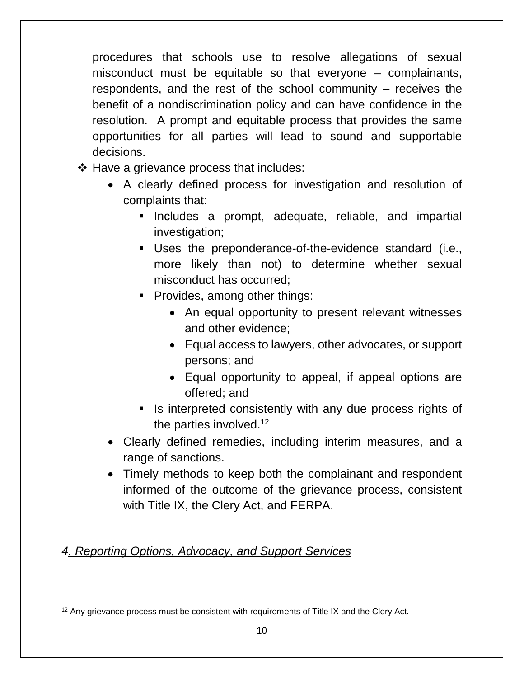procedures that schools use to resolve allegations of sexual misconduct must be equitable so that everyone – complainants, respondents, and the rest of the school community – receives the benefit of a nondiscrimination policy and can have confidence in the resolution. A prompt and equitable process that provides the same opportunities for all parties will lead to sound and supportable decisions.

- $\cdot$  Have a grievance process that includes:
	- A clearly defined process for investigation and resolution of complaints that:
		- **I.** Includes a prompt, adequate, reliable, and impartial investigation;
		- Uses the preponderance-of-the-evidence standard (i.e., more likely than not) to determine whether sexual misconduct has occurred;
		- Provides, among other things:
			- An equal opportunity to present relevant witnesses and other evidence;
			- Equal access to lawyers, other advocates, or support persons; and
			- Equal opportunity to appeal, if appeal options are offered; and
		- Is interpreted consistently with any due process rights of the parties involved.<sup>12</sup>
	- Clearly defined remedies, including interim measures, and a range of sanctions.
	- Timely methods to keep both the complainant and respondent informed of the outcome of the grievance process, consistent with Title IX, the Clery Act, and FERPA.

#### *4. Reporting Options, Advocacy, and Support Services*

 $\overline{\phantom{a}}$  $12$  Any grievance process must be consistent with requirements of Title IX and the Clery Act.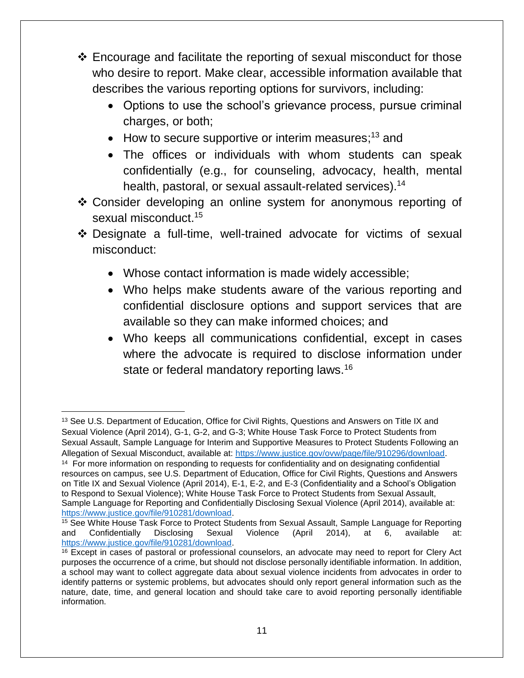- Encourage and facilitate the reporting of sexual misconduct for those who desire to report. Make clear, accessible information available that describes the various reporting options for survivors, including:
	- Options to use the school's grievance process, pursue criminal charges, or both;
	- $\bullet$  How to secure supportive or interim measures;<sup>13</sup> and
	- The offices or individuals with whom students can speak confidentially (e.g., for counseling, advocacy, health, mental health, pastoral, or sexual assault-related services).<sup>14</sup>
- Consider developing an online system for anonymous reporting of sexual misconduct.<sup>15</sup>
- Designate a full-time, well-trained advocate for victims of sexual misconduct:
	- Whose contact information is made widely accessible;
	- Who helps make students aware of the various reporting and confidential disclosure options and support services that are available so they can make informed choices; and
	- Who keeps all communications confidential, except in cases where the advocate is required to disclose information under state or federal mandatory reporting laws.<sup>16</sup>

 $\overline{a}$ <sup>13</sup> See U.S. Department of Education, Office for Civil Rights, Questions and Answers on Title IX and Sexual Violence (April 2014), G-1, G-2, and G-3; White House Task Force to Protect Students from Sexual Assault, Sample Language for Interim and Supportive Measures to Protect Students Following an Allegation of Sexual Misconduct, available at: [https://www.justice.gov/ovw/page/file/910296/download.](https://www.justice.gov/ovw/page/file/910296/download)

<sup>&</sup>lt;sup>14</sup> For more information on responding to requests for confidentiality and on designating confidential resources on campus, see U.S. Department of Education, Office for Civil Rights, Questions and Answers on Title IX and Sexual Violence (April 2014), E-1, E-2, and E-3 (Confidentiality and a School's Obligation to Respond to Sexual Violence); White House Task Force to Protect Students from Sexual Assault, Sample Language for Reporting and Confidentially Disclosing Sexual Violence (April 2014), available at: [https://www.justice.gov/file/910281/download.](https://www.justice.gov/file/910281/download)

<sup>&</sup>lt;sup>15</sup> See White House Task Force to Protect Students from Sexual Assault, Sample Language for Reporting and Confidentially Disclosing Sexual Violence (April 2014), at 6, available at: [https://www.justice.gov/file/910281/download.](https://www.justice.gov/file/910281/download)

<sup>&</sup>lt;sup>16</sup> Except in cases of pastoral or professional counselors, an advocate may need to report for Clery Act purposes the occurrence of a crime, but should not disclose personally identifiable information. In addition, a school may want to collect aggregate data about sexual violence incidents from advocates in order to identify patterns or systemic problems, but advocates should only report general information such as the nature, date, time, and general location and should take care to avoid reporting personally identifiable information.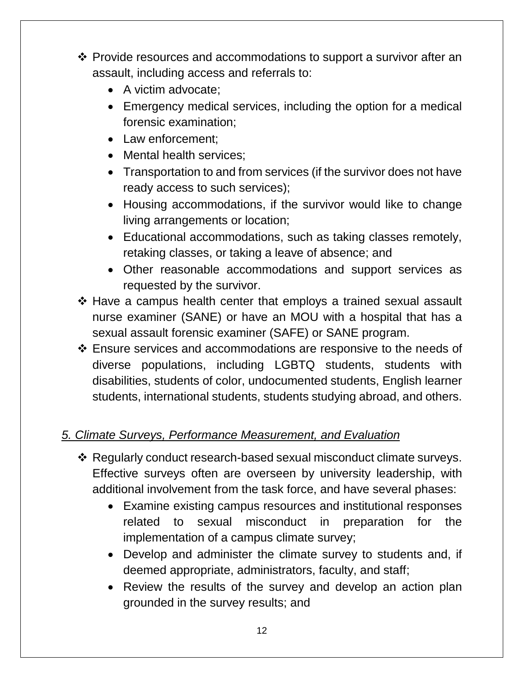- Provide resources and accommodations to support a survivor after an assault, including access and referrals to:
	- A victim advocate:
	- Emergency medical services, including the option for a medical forensic examination;
	- Law enforcement;
	- Mental health services;
	- Transportation to and from services (if the survivor does not have ready access to such services);
	- Housing accommodations, if the survivor would like to change living arrangements or location;
	- Educational accommodations, such as taking classes remotely, retaking classes, or taking a leave of absence; and
	- Other reasonable accommodations and support services as requested by the survivor.
- Have a campus health center that employs a trained sexual assault nurse examiner (SANE) or have an MOU with a hospital that has a sexual assault forensic examiner (SAFE) or SANE program.
- Ensure services and accommodations are responsive to the needs of diverse populations, including LGBTQ students, students with disabilities, students of color, undocumented students, English learner students, international students, students studying abroad, and others.

# *5. Climate Surveys, Performance Measurement, and Evaluation*

- **\*** Regularly conduct research-based sexual misconduct climate surveys. Effective surveys often are overseen by university leadership, with additional involvement from the task force, and have several phases:
	- Examine existing campus resources and institutional responses related to sexual misconduct in preparation for the implementation of a campus climate survey;
	- Develop and administer the climate survey to students and, if deemed appropriate, administrators, faculty, and staff;
	- Review the results of the survey and develop an action plan grounded in the survey results; and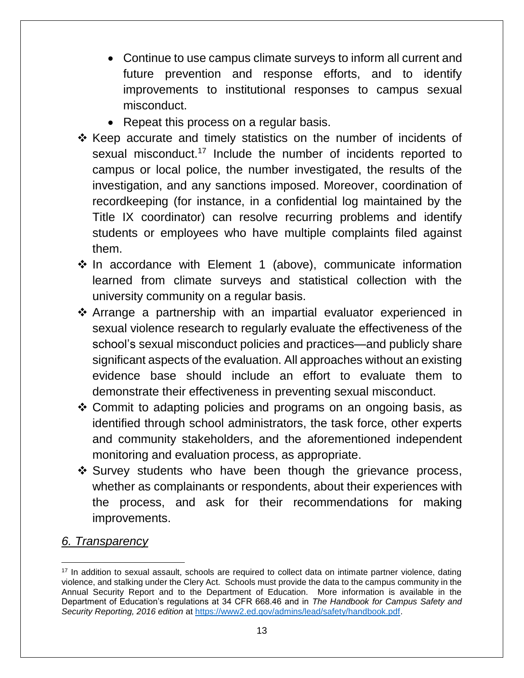- Continue to use campus climate surveys to inform all current and future prevention and response efforts, and to identify improvements to institutional responses to campus sexual misconduct.
- Repeat this process on a regular basis.
- $\div$  Keep accurate and timely statistics on the number of incidents of sexual misconduct.<sup>17</sup> Include the number of incidents reported to campus or local police, the number investigated, the results of the investigation, and any sanctions imposed. Moreover, coordination of recordkeeping (for instance, in a confidential log maintained by the Title IX coordinator) can resolve recurring problems and identify students or employees who have multiple complaints filed against them.
- $\div$  In accordance with Element 1 (above), communicate information learned from climate surveys and statistical collection with the university community on a regular basis.
- Arrange a partnership with an impartial evaluator experienced in sexual violence research to regularly evaluate the effectiveness of the school's sexual misconduct policies and practices—and publicly share significant aspects of the evaluation. All approaches without an existing evidence base should include an effort to evaluate them to demonstrate their effectiveness in preventing sexual misconduct.
- Commit to adapting policies and programs on an ongoing basis, as identified through school administrators, the task force, other experts and community stakeholders, and the aforementioned independent monitoring and evaluation process, as appropriate.
- \* Survey students who have been though the grievance process, whether as complainants or respondents, about their experiences with the process, and ask for their recommendations for making improvements.

#### *6. Transparency*

 $\overline{a}$ 

<sup>&</sup>lt;sup>17</sup> In addition to sexual assault, schools are required to collect data on intimate partner violence, dating violence, and stalking under the Clery Act. Schools must provide the data to the campus community in the Annual Security Report and to the Department of Education. More information is available in the Department of Education's regulations at 34 CFR 668.46 and in *The Handbook for Campus Safety and Security Reporting, 2016 edition* at [https://www2.ed.gov/admins/lead/safety/handbook.pdf.](https://www2.ed.gov/admins/lead/safety/handbook.pdf)